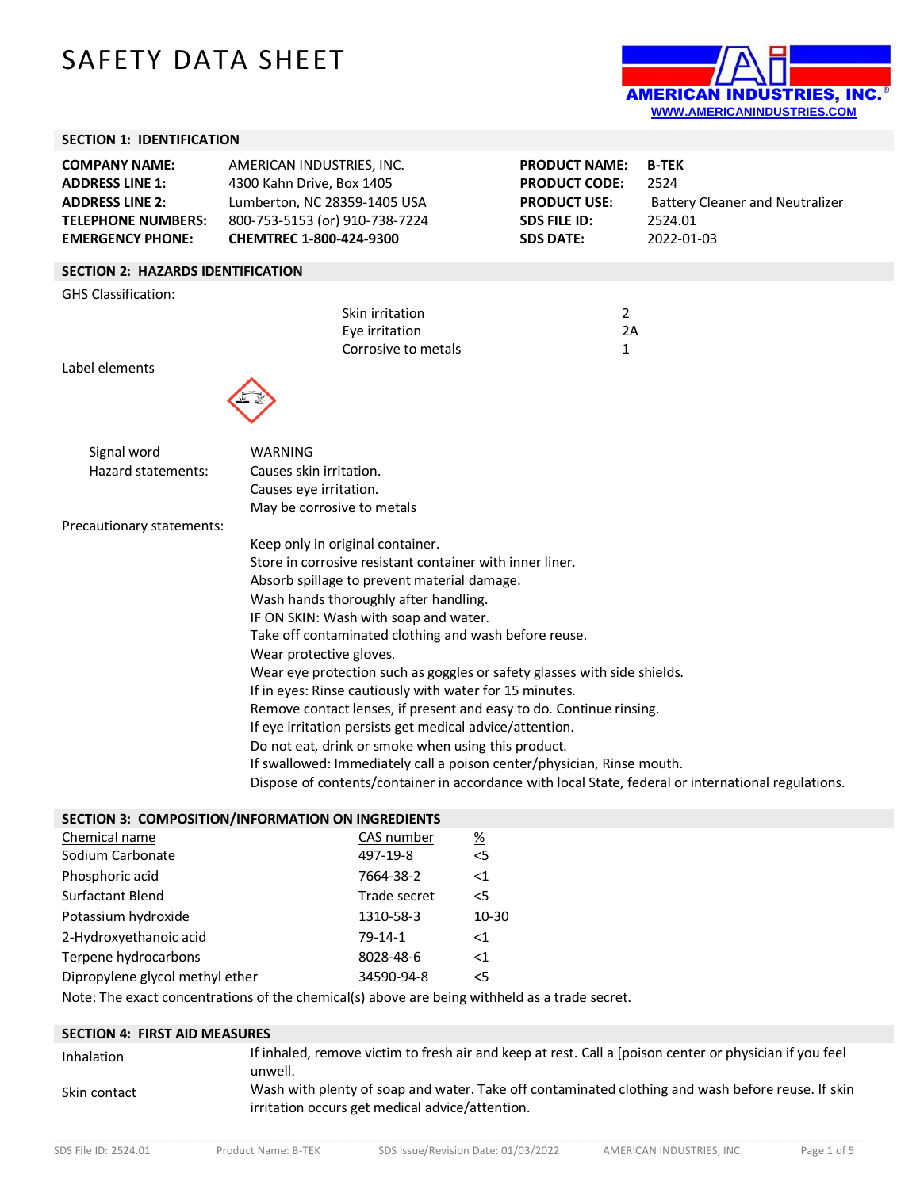# SAFETY DATA SHEET



## **SECTION 1: IDENTIFICATION**

| <b>COMPANY NAME:</b><br><b>ADDRESS LINE 1:</b><br><b>ADDRESS LINE 2:</b><br><b>TELEPHONE NUMBERS:</b><br><b>EMERGENCY PHONE:</b> | AMERICAN INDUSTRIES, INC.<br>4300 Kahn Drive, Box 1405<br>Lumberton, NC 28359-1405 USA<br>800-753-5153 (or) 910-738-7224<br>CHEMTREC 1-800-424-9300 | <b>PRODUCT NAME:</b><br><b>PRODUCT CODE:</b><br><b>PRODUCT USE:</b><br><b>SDS FILE ID:</b><br><b>SDS DATE:</b> | <b>B-TEK</b><br>2524<br><b>Battery Cleaner and Neutralizer</b><br>2524.01<br>2022-01-03 |  |
|----------------------------------------------------------------------------------------------------------------------------------|-----------------------------------------------------------------------------------------------------------------------------------------------------|----------------------------------------------------------------------------------------------------------------|-----------------------------------------------------------------------------------------|--|
| <b>SECTION 2: HAZARDS IDENTIFICATION</b>                                                                                         |                                                                                                                                                     |                                                                                                                |                                                                                         |  |
| <b>GHS Classification:</b>                                                                                                       |                                                                                                                                                     |                                                                                                                |                                                                                         |  |
|                                                                                                                                  | Skin irritation                                                                                                                                     | 2                                                                                                              |                                                                                         |  |
|                                                                                                                                  | Eye irritation                                                                                                                                      | 2A                                                                                                             |                                                                                         |  |
|                                                                                                                                  | Corrosive to metals                                                                                                                                 | 1                                                                                                              |                                                                                         |  |
| Label elements                                                                                                                   |                                                                                                                                                     |                                                                                                                |                                                                                         |  |
|                                                                                                                                  |                                                                                                                                                     |                                                                                                                |                                                                                         |  |
|                                                                                                                                  |                                                                                                                                                     |                                                                                                                |                                                                                         |  |
| Signal word                                                                                                                      | <b>WARNING</b>                                                                                                                                      |                                                                                                                |                                                                                         |  |
| Hazard statements:                                                                                                               | Causes skin irritation.                                                                                                                             |                                                                                                                |                                                                                         |  |
|                                                                                                                                  | Causes eye irritation.                                                                                                                              |                                                                                                                |                                                                                         |  |
|                                                                                                                                  | May be corrosive to metals                                                                                                                          |                                                                                                                |                                                                                         |  |
| Precautionary statements:                                                                                                        |                                                                                                                                                     |                                                                                                                |                                                                                         |  |
|                                                                                                                                  | Keep only in original container.                                                                                                                    |                                                                                                                |                                                                                         |  |
|                                                                                                                                  | Store in corrosive resistant container with inner liner.                                                                                            |                                                                                                                |                                                                                         |  |
|                                                                                                                                  | Absorb spillage to prevent material damage.                                                                                                         |                                                                                                                |                                                                                         |  |
|                                                                                                                                  | Wash hands thoroughly after handling.                                                                                                               |                                                                                                                |                                                                                         |  |
|                                                                                                                                  | IF ON SKIN: Wash with soap and water.                                                                                                               |                                                                                                                |                                                                                         |  |
|                                                                                                                                  | Take off contaminated clothing and wash before reuse.                                                                                               |                                                                                                                |                                                                                         |  |
|                                                                                                                                  | Wear protective gloves.<br>Wear eye protection such as goggles or safety glasses with side shields.                                                 |                                                                                                                |                                                                                         |  |
|                                                                                                                                  | If in eyes: Rinse cautiously with water for 15 minutes.                                                                                             |                                                                                                                |                                                                                         |  |
|                                                                                                                                  | Remove contact lenses, if present and easy to do. Continue rinsing.                                                                                 |                                                                                                                |                                                                                         |  |
|                                                                                                                                  | If eye irritation persists get medical advice/attention.                                                                                            |                                                                                                                |                                                                                         |  |
|                                                                                                                                  | Do not eat, drink or smoke when using this product.                                                                                                 |                                                                                                                |                                                                                         |  |
|                                                                                                                                  | If swallowed: Immediately call a poison center/physician, Rinse mouth.                                                                              |                                                                                                                |                                                                                         |  |
| Dispose of contents/container in accordance with local State, federal or international regulations.                              |                                                                                                                                                     |                                                                                                                |                                                                                         |  |
|                                                                                                                                  | SECTION 3: COMPOSITION/INFORMATION ON INGREDIENTS                                                                                                   |                                                                                                                |                                                                                         |  |
| Chemical name                                                                                                                    | CAS number<br>$\frac{\%}{\%}$                                                                                                                       |                                                                                                                |                                                                                         |  |

| Chemical name                   | CAS number   | <u>%</u> |
|---------------------------------|--------------|----------|
| Sodium Carbonate                | 497-19-8     | < 5      |
| Phosphoric acid                 | 7664-38-2    | $<$ 1    |
| <b>Surfactant Blend</b>         | Trade secret | 5<       |
| Potassium hydroxide             | 1310-58-3    | 10-30    |
| 2-Hydroxyethanoic acid          | $79-14-1$    | $<$ 1    |
| Terpene hydrocarbons            | 8028-48-6    | $<$ 1    |
| Dipropylene glycol methyl ether | 34590-94-8   | 5        |

Note: The exact concentrations of the chemical(s) above are being withheld as a trade secret.

| <b>SECTION 4: FIRST AID MEASURES</b> |                                                                                                                                                      |  |
|--------------------------------------|------------------------------------------------------------------------------------------------------------------------------------------------------|--|
| Inhalation                           | If inhaled, remove victim to fresh air and keep at rest. Call a [poison center or physician if you feel<br>unwell.                                   |  |
| Skin contact                         | Wash with plenty of soap and water. Take off contaminated clothing and wash before reuse. If skin<br>irritation occurs get medical advice/attention. |  |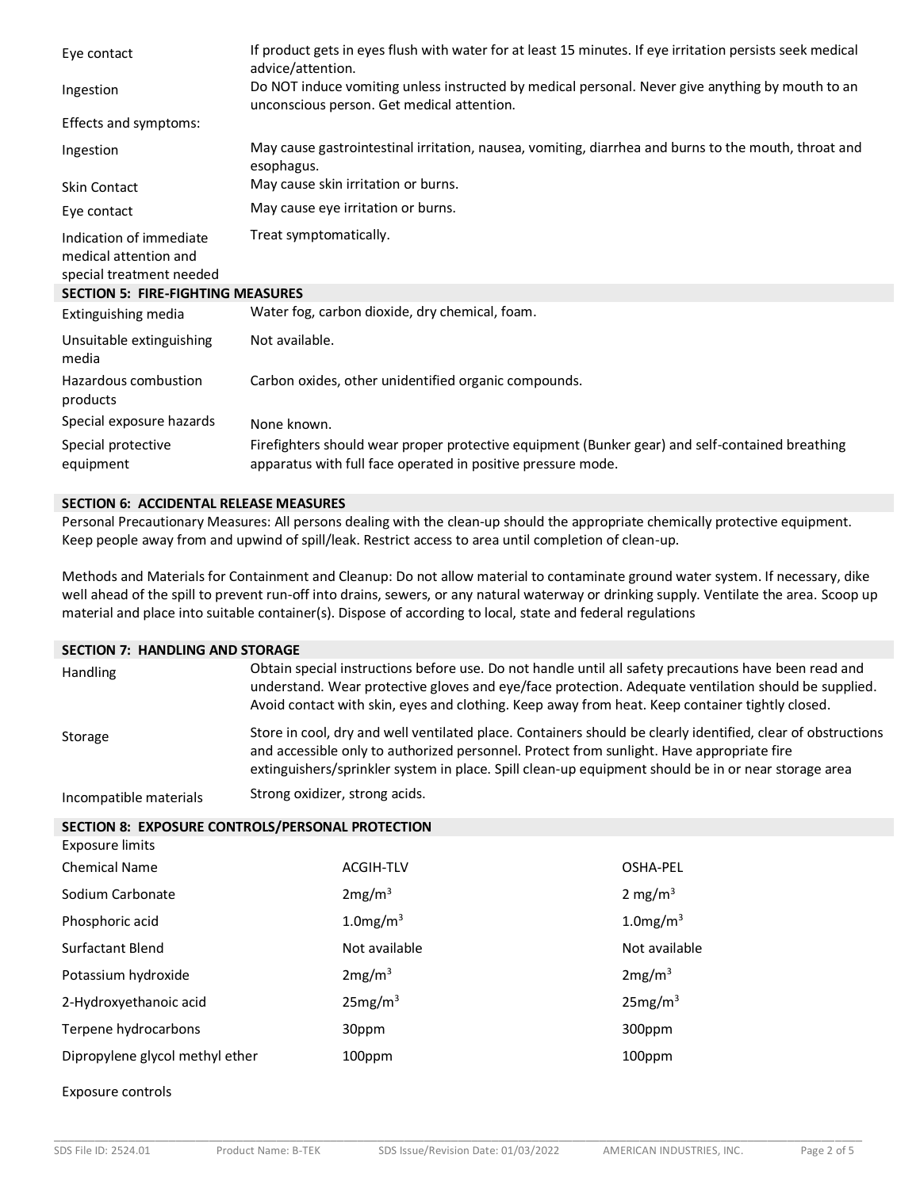| Eye contact                                                                  | If product gets in eyes flush with water for at least 15 minutes. If eye irritation persists seek medical<br>advice/attention.                                  |
|------------------------------------------------------------------------------|-----------------------------------------------------------------------------------------------------------------------------------------------------------------|
| Ingestion                                                                    | Do NOT induce vomiting unless instructed by medical personal. Never give anything by mouth to an<br>unconscious person. Get medical attention.                  |
| Effects and symptoms:                                                        |                                                                                                                                                                 |
| Ingestion                                                                    | May cause gastrointestinal irritation, nausea, vomiting, diarrhea and burns to the mouth, throat and<br>esophagus.                                              |
| <b>Skin Contact</b>                                                          | May cause skin irritation or burns.                                                                                                                             |
| Eye contact                                                                  | May cause eye irritation or burns.                                                                                                                              |
| Indication of immediate<br>medical attention and<br>special treatment needed | Treat symptomatically.                                                                                                                                          |
| <b>SECTION 5: FIRE-FIGHTING MEASURES</b>                                     |                                                                                                                                                                 |
| Extinguishing media                                                          | Water fog, carbon dioxide, dry chemical, foam.                                                                                                                  |
| Unsuitable extinguishing<br>media                                            | Not available.                                                                                                                                                  |
| Hazardous combustion<br>products                                             | Carbon oxides, other unidentified organic compounds.                                                                                                            |
| Special exposure hazards                                                     | None known.                                                                                                                                                     |
| Special protective<br>equipment                                              | Firefighters should wear proper protective equipment (Bunker gear) and self-contained breathing<br>apparatus with full face operated in positive pressure mode. |

## **SECTION 6: ACCIDENTAL RELEASE MEASURES**

Personal Precautionary Measures: All persons dealing with the clean-up should the appropriate chemically protective equipment. Keep people away from and upwind of spill/leak. Restrict access to area until completion of clean-up.

Methods and Materials for Containment and Cleanup: Do not allow material to contaminate ground water system. If necessary, dike well ahead of the spill to prevent run-off into drains, sewers, or any natural waterway or drinking supply. Ventilate the area. Scoop up material and place into suitable container(s). Dispose of according to local, state and federal regulations

#### **SECTION 7: HANDLING AND STORAGE**

| <b>Handling</b>        | Obtain special instructions before use. Do not handle until all safety precautions have been read and<br>understand. Wear protective gloves and eye/face protection. Adequate ventilation should be supplied.<br>Avoid contact with skin, eyes and clothing. Keep away from heat. Keep container tightly closed. |
|------------------------|------------------------------------------------------------------------------------------------------------------------------------------------------------------------------------------------------------------------------------------------------------------------------------------------------------------|
| Storage                | Store in cool, dry and well ventilated place. Containers should be clearly identified, clear of obstructions<br>and accessible only to authorized personnel. Protect from sunlight. Have appropriate fire<br>extinguishers/sprinkler system in place. Spill clean-up equipment should be in or near storage area |
| Incompatible materials | Strong oxidizer, strong acids.                                                                                                                                                                                                                                                                                   |

#### **SECTION 8: EXPOSURE CONTROLS/PERSONAL PROTECTION**

| Exposure limits                 |                         |                         |
|---------------------------------|-------------------------|-------------------------|
| <b>Chemical Name</b>            | <b>ACGIH-TLV</b>        | OSHA-PEL                |
| Sodium Carbonate                | 2mg/m <sup>3</sup>      | 2 mg/m <sup>3</sup>     |
| Phosphoric acid                 | $1.0$ mg/m <sup>3</sup> | $1.0$ mg/m <sup>3</sup> |
| Surfactant Blend                | Not available           | Not available           |
| Potassium hydroxide             | 2mg/m <sup>3</sup>      | 2mg/m <sup>3</sup>      |
| 2-Hydroxyethanoic acid          | 25mg/m <sup>3</sup>     | 25mg/m <sup>3</sup>     |
| Terpene hydrocarbons            | 30ppm                   | 300ppm                  |
| Dipropylene glycol methyl ether | 100ppm                  | 100ppm                  |

Exposure controls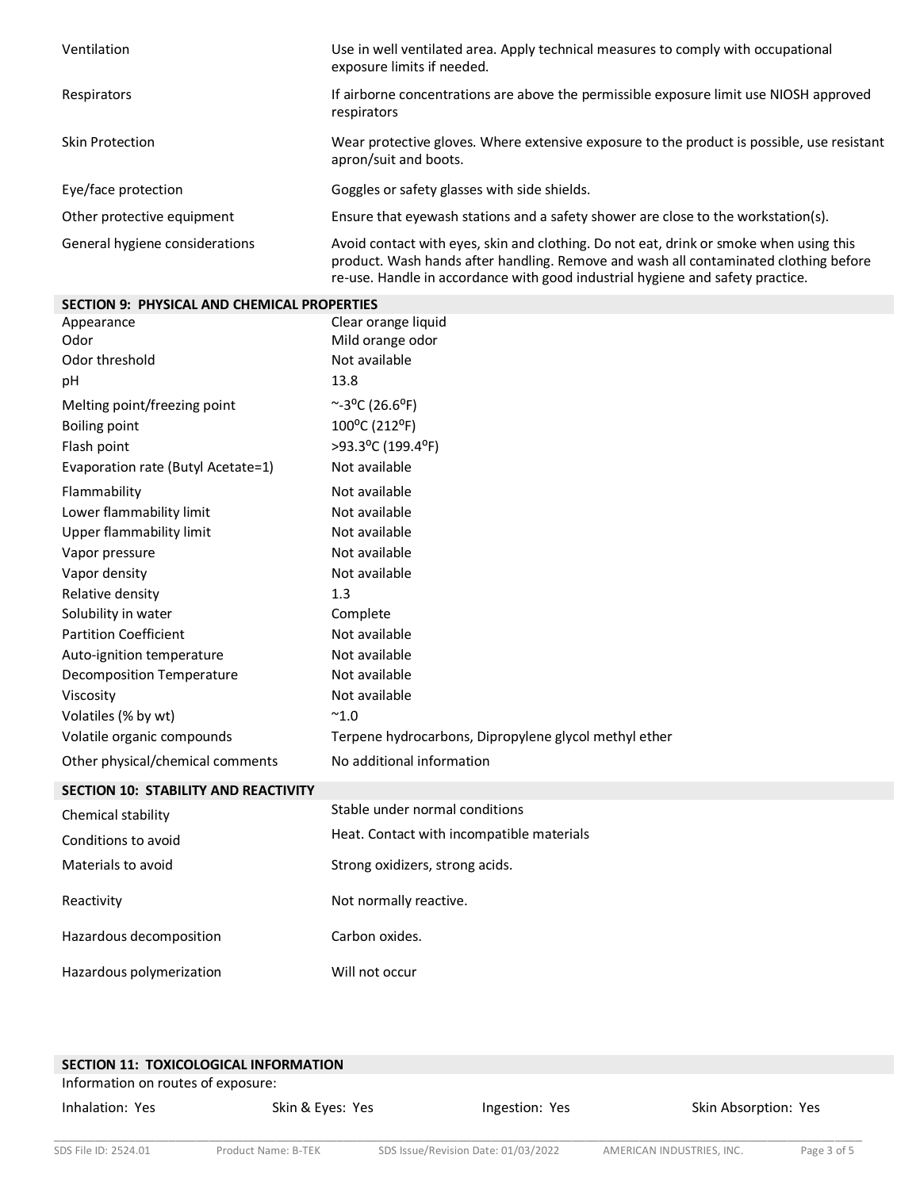| Ventilation                    | Use in well ventilated area. Apply technical measures to comply with occupational<br>exposure limits if needed.                                                                                                                                                  |
|--------------------------------|------------------------------------------------------------------------------------------------------------------------------------------------------------------------------------------------------------------------------------------------------------------|
| Respirators                    | If airborne concentrations are above the permissible exposure limit use NIOSH approved<br>respirators                                                                                                                                                            |
| Skin Protection                | Wear protective gloves. Where extensive exposure to the product is possible, use resistant<br>apron/suit and boots.                                                                                                                                              |
| Eye/face protection            | Goggles or safety glasses with side shields.                                                                                                                                                                                                                     |
| Other protective equipment     | Ensure that eyewash stations and a safety shower are close to the workstation(s).                                                                                                                                                                                |
| General hygiene considerations | Avoid contact with eyes, skin and clothing. Do not eat, drink or smoke when using this<br>product. Wash hands after handling. Remove and wash all contaminated clothing before<br>re-use. Handle in accordance with good industrial hygiene and safety practice. |

| <b>SECTION 9: PHYSICAL AND CHEMICAL PROPERTIES</b> |                                                       |  |
|----------------------------------------------------|-------------------------------------------------------|--|
| Appearance                                         | Clear orange liquid                                   |  |
| Odor                                               | Mild orange odor                                      |  |
| Odor threshold                                     | Not available                                         |  |
| pH                                                 | 13.8                                                  |  |
| Melting point/freezing point                       | $~^{\sim}$ -3°C (26.6°F)                              |  |
| <b>Boiling point</b>                               | 100°C (212°F)                                         |  |
| Flash point                                        | >93.3°C (199.4°F)                                     |  |
| Evaporation rate (Butyl Acetate=1)                 | Not available                                         |  |
| Flammability                                       | Not available                                         |  |
| Lower flammability limit                           | Not available                                         |  |
| Upper flammability limit                           | Not available                                         |  |
| Vapor pressure                                     | Not available                                         |  |
| Vapor density                                      | Not available                                         |  |
| Relative density                                   | 1.3                                                   |  |
| Solubility in water                                | Complete                                              |  |
| <b>Partition Coefficient</b>                       | Not available                                         |  |
| Auto-ignition temperature                          | Not available                                         |  |
| <b>Decomposition Temperature</b>                   | Not available                                         |  |
| Viscosity                                          | Not available                                         |  |
| Volatiles (% by wt)                                | $^{\sim}$ 1.0                                         |  |
| Volatile organic compounds                         | Terpene hydrocarbons, Dipropylene glycol methyl ether |  |
| Other physical/chemical comments                   | No additional information                             |  |
| <b>SECTION 10: STABILITY AND REACTIVITY</b>        |                                                       |  |
| Chemical stability                                 | Stable under normal conditions                        |  |
| Conditions to avoid                                | Heat. Contact with incompatible materials             |  |
| Materials to avoid                                 | Strong oxidizers, strong acids.                       |  |
| Reactivity                                         | Not normally reactive.                                |  |
| Hazardous decomposition                            | Carbon oxides.                                        |  |
| Hazardous polymerization                           | Will not occur                                        |  |

| <b>SECTION 11: TOXICOLOGICAL INFORMATION</b> |                  |                |                      |
|----------------------------------------------|------------------|----------------|----------------------|
| Information on routes of exposure:           |                  |                |                      |
| Inhalation: Yes                              | Skin & Eyes: Yes | Ingestion: Yes | Skin Absorption: Yes |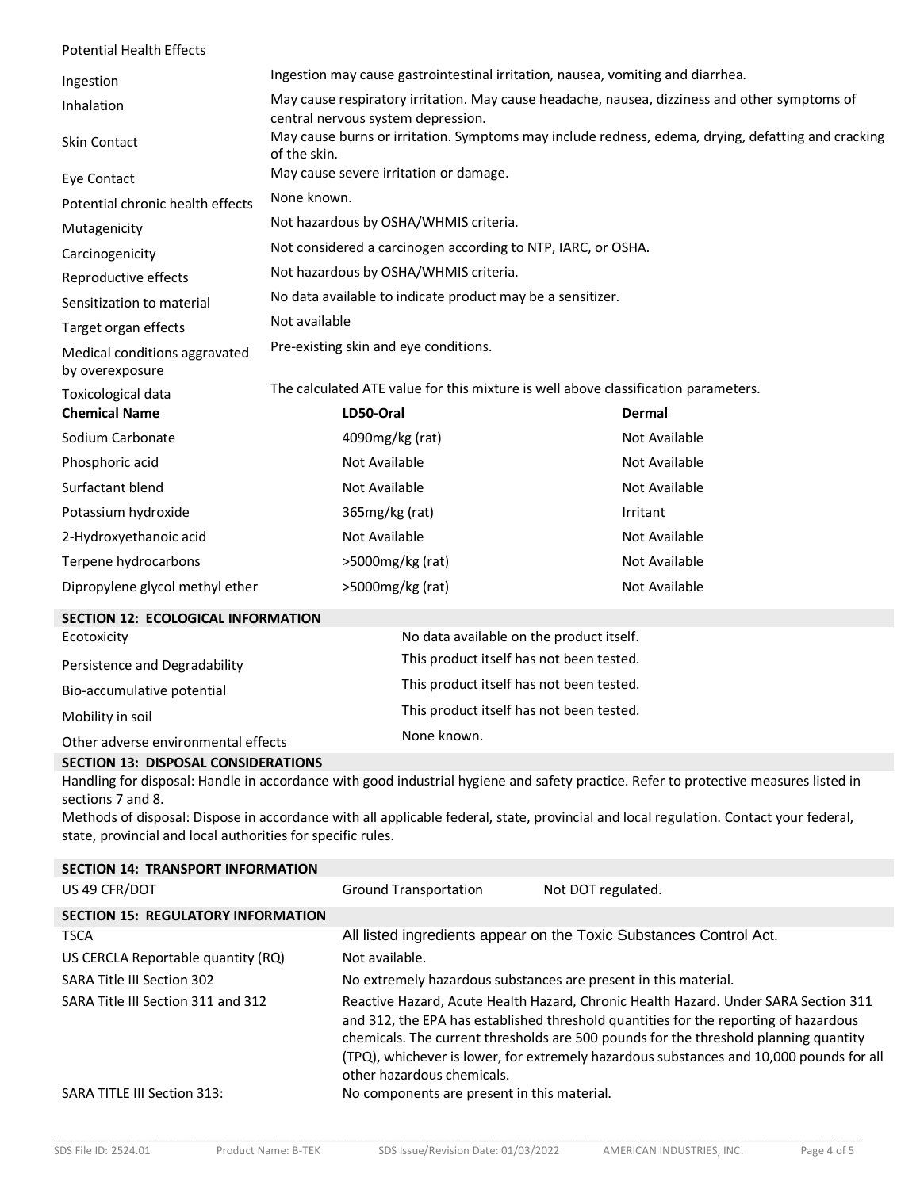| <b>Potential Health Effects</b>                                           |                                                                                                                                     |                                                              |               |
|---------------------------------------------------------------------------|-------------------------------------------------------------------------------------------------------------------------------------|--------------------------------------------------------------|---------------|
| Ingestion                                                                 | Ingestion may cause gastrointestinal irritation, nausea, vomiting and diarrhea.                                                     |                                                              |               |
| Inhalation                                                                | May cause respiratory irritation. May cause headache, nausea, dizziness and other symptoms of<br>central nervous system depression. |                                                              |               |
| <b>Skin Contact</b>                                                       | May cause burns or irritation. Symptoms may include redness, edema, drying, defatting and cracking<br>of the skin.                  |                                                              |               |
| Eye Contact                                                               |                                                                                                                                     | May cause severe irritation or damage.                       |               |
| Potential chronic health effects                                          | None known.                                                                                                                         |                                                              |               |
| Mutagenicity                                                              |                                                                                                                                     | Not hazardous by OSHA/WHMIS criteria.                        |               |
| Carcinogenicity                                                           |                                                                                                                                     | Not considered a carcinogen according to NTP, IARC, or OSHA. |               |
| Reproductive effects                                                      |                                                                                                                                     | Not hazardous by OSHA/WHMIS criteria.                        |               |
| Sensitization to material                                                 | No data available to indicate product may be a sensitizer.                                                                          |                                                              |               |
| Target organ effects                                                      | Not available                                                                                                                       |                                                              |               |
| Medical conditions aggravated<br>by overexposure                          | Pre-existing skin and eye conditions.                                                                                               |                                                              |               |
| Toxicological data                                                        | The calculated ATE value for this mixture is well above classification parameters.                                                  |                                                              |               |
| <b>Chemical Name</b>                                                      | LD50-Oral                                                                                                                           |                                                              | Dermal        |
| Sodium Carbonate                                                          |                                                                                                                                     | 4090mg/kg (rat)                                              | Not Available |
| Phosphoric acid                                                           | Not Available<br>Not Available                                                                                                      |                                                              |               |
| Surfactant blend                                                          | Not Available<br>Not Available                                                                                                      |                                                              |               |
| Potassium hydroxide                                                       | 365mg/kg (rat)<br>Irritant                                                                                                          |                                                              |               |
| 2-Hydroxyethanoic acid                                                    |                                                                                                                                     | Not Available                                                | Not Available |
| Terpene hydrocarbons                                                      | >5000mg/kg (rat)                                                                                                                    |                                                              | Not Available |
| Dipropylene glycol methyl ether                                           | Not Available<br>>5000mg/kg (rat)                                                                                                   |                                                              |               |
| SECTION 12: ECOLOGICAL INFORMATION                                        |                                                                                                                                     |                                                              |               |
| No data available on the product itself.<br>Ecotoxicity                   |                                                                                                                                     |                                                              |               |
| This product itself has not been tested.<br>Persistence and Degradability |                                                                                                                                     |                                                              |               |
| This product itself has not been tested.<br>Bio-accumulative potential    |                                                                                                                                     |                                                              |               |
| This product itself has not been tested.<br>Mobility in soil              |                                                                                                                                     |                                                              |               |
| Other adverse environmental effects                                       |                                                                                                                                     | None known.                                                  |               |
| <b>SECTION 13: DISPOSAL CONSIDERATIONS</b>                                |                                                                                                                                     |                                                              |               |

Handling for disposal: Handle in accordance with good industrial hygiene and safety practice. Refer to protective measures listed in sections 7 and 8.

Methods of disposal: Dispose in accordance with all applicable federal, state, provincial and local regulation. Contact your federal, state, provincial and local authorities for specific rules.

| <b>SECTION 14: TRANSPORT INFORMATION</b>  |                                                                                                                                                                                                                                                                                                                                                                                              |                                                                    |
|-------------------------------------------|----------------------------------------------------------------------------------------------------------------------------------------------------------------------------------------------------------------------------------------------------------------------------------------------------------------------------------------------------------------------------------------------|--------------------------------------------------------------------|
| US 49 CFR/DOT                             | <b>Ground Transportation</b>                                                                                                                                                                                                                                                                                                                                                                 | Not DOT regulated.                                                 |
| <b>SECTION 15: REGULATORY INFORMATION</b> |                                                                                                                                                                                                                                                                                                                                                                                              |                                                                    |
| <b>TSCA</b>                               |                                                                                                                                                                                                                                                                                                                                                                                              | All listed ingredients appear on the Toxic Substances Control Act. |
| US CERCLA Reportable quantity (RQ)        | Not available.                                                                                                                                                                                                                                                                                                                                                                               |                                                                    |
| SARA Title III Section 302                |                                                                                                                                                                                                                                                                                                                                                                                              | No extremely hazardous substances are present in this material.    |
| SARA Title III Section 311 and 312        | Reactive Hazard, Acute Health Hazard, Chronic Health Hazard. Under SARA Section 311<br>and 312, the EPA has established threshold quantities for the reporting of hazardous<br>chemicals. The current thresholds are 500 pounds for the threshold planning quantity<br>(TPQ), whichever is lower, for extremely hazardous substances and 10,000 pounds for all<br>other hazardous chemicals. |                                                                    |
| SARA TITLE III Section 313:               | No components are present in this material.                                                                                                                                                                                                                                                                                                                                                  |                                                                    |
|                                           |                                                                                                                                                                                                                                                                                                                                                                                              |                                                                    |